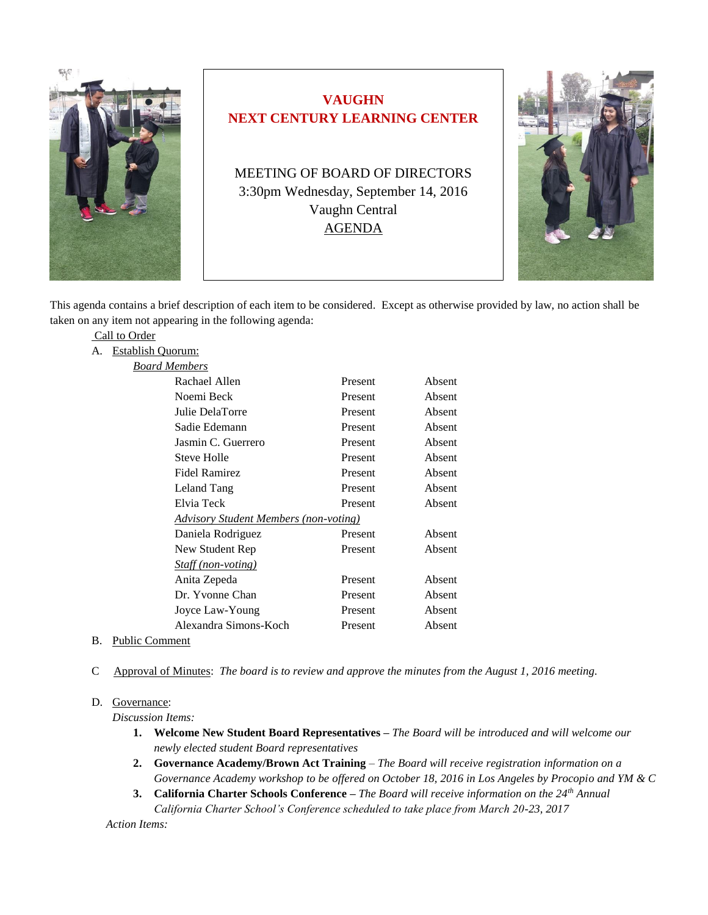

# **VAUGHN NEXT CENTURY LEARNING CENTER**

MEETING OF BOARD OF DIRECTORS 3:30pm Wednesday, September 14, 2016 Vaughn Central AGENDA



This agenda contains a brief description of each item to be considered. Except as otherwise provided by law, no action shall be taken on any item not appearing in the following agenda:

|               | . <b>. .</b>         |                                               |         |        |
|---------------|----------------------|-----------------------------------------------|---------|--------|
| Call to Order |                      |                                               |         |        |
| A.            | Establish Quorum:    |                                               |         |        |
|               | <b>Board Members</b> |                                               |         |        |
|               |                      | Rachael Allen                                 | Present | Absent |
|               |                      | Noemi Beck                                    | Present | Absent |
|               |                      | Julie DelaTorre                               | Present | Absent |
|               |                      | Sadie Edemann                                 | Present | Absent |
|               |                      | Jasmin C. Guerrero                            | Present | Absent |
|               |                      | Steve Holle                                   | Present | Absent |
|               |                      | <b>Fidel Ramirez</b>                          | Present | Absent |
|               |                      | Leland Tang                                   | Present | Absent |
|               |                      | Elvia Teck                                    | Present | Absent |
|               |                      | <u> Advisory Student Members (non-voting)</u> |         |        |
|               |                      | Daniela Rodriguez                             | Present | Absent |
|               |                      | New Student Rep                               | Present | Absent |
|               |                      | Staff (non-voting)                            |         |        |
|               |                      | Anita Zepeda                                  | Present | Absent |
|               |                      | Dr. Yvonne Chan                               | Present | Absent |
|               |                      | Joyce Law-Young                               | Present | Absent |
|               |                      | Alexandra Simons-Koch                         | Present | Absent |
|               |                      |                                               |         |        |

- B. Public Comment
- C Approval of Minutes: *The board is to review and approve the minutes from the August 1, 2016 meeting.*

#### D. Governance:

*Discussion Items:* 

- **1. Welcome New Student Board Representatives –** *The Board will be introduced and will welcome our newly elected student Board representatives*
- **2. Governance Academy/Brown Act Training** *The Board will receive registration information on a Governance Academy workshop to be offered on October 18, 2016 in Los Angeles by Procopio and YM & C*
- **3. California Charter Schools Conference –** *The Board will receive information on the 24th Annual California Charter School's Conference scheduled to take place from March 20-23, 2017*

 *Action Items:*